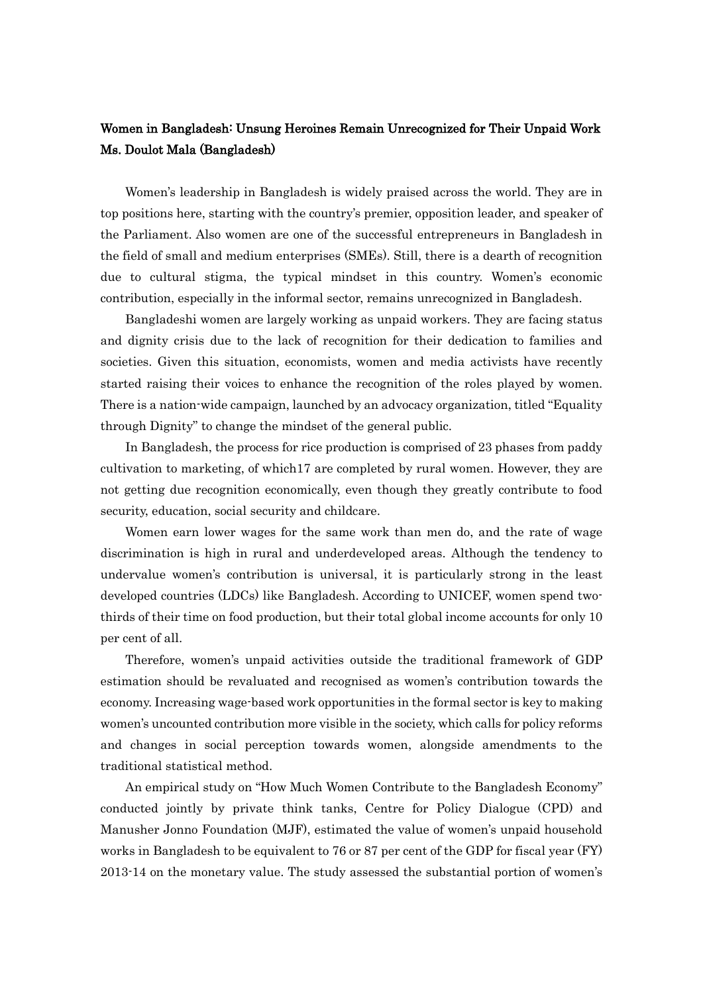## Women in Bangladesh: Unsung Heroines Remain Unrecognized for Their Unpaid Work Ms. Doulot Mala (Bangladesh)

Women's leadership in Bangladesh is widely praised across the world. They are in top positions here, starting with the country's premier, opposition leader, and speaker of the Parliament. Also women are one of the successful entrepreneurs in Bangladesh in the field of small and medium enterprises (SMEs). Still, there is a dearth of recognition due to cultural stigma, the typical mindset in this country. Women's economic contribution, especially in the informal sector, remains unrecognized in Bangladesh.

Bangladeshi women are largely working as unpaid workers. They are facing status and dignity crisis due to the lack of recognition for their dedication to families and societies. Given this situation, economists, women and media activists have recently started raising their voices to enhance the recognition of the roles played by women. There is a nation-wide campaign, launched by an advocacy organization, titled "Equality through Dignity" to change the mindset of the general public.

In Bangladesh, the process for rice production is comprised of 23 phases from paddy cultivation to marketing, of which17 are completed by rural women. However, they are not getting due recognition economically, even though they greatly contribute to food security, education, social security and childcare.

Women earn lower wages for the same work than men do, and the rate of wage discrimination is high in rural and underdeveloped areas. Although the tendency to undervalue women's contribution is universal, it is particularly strong in the least developed countries (LDCs) like Bangladesh. According to UNICEF, women spend twothirds of their time on food production, but their total global income accounts for only 10 per cent of all.

Therefore, women's unpaid activities outside the traditional framework of GDP estimation should be revaluated and recognised as women's contribution towards the economy. Increasing wage-based work opportunities in the formal sector is key to making women's uncounted contribution more visible in the society, which calls for policy reforms and changes in social perception towards women, alongside amendments to the traditional statistical method.

An empirical study on "How Much Women Contribute to the Bangladesh Economy" conducted jointly by private think tanks, Centre for Policy Dialogue (CPD) and Manusher Jonno Foundation (MJF), estimated the value of women's unpaid household works in Bangladesh to be equivalent to 76 or 87 per cent of the GDP for fiscal year (FY) 2013-14 on the monetary value. The study assessed the substantial portion of women's